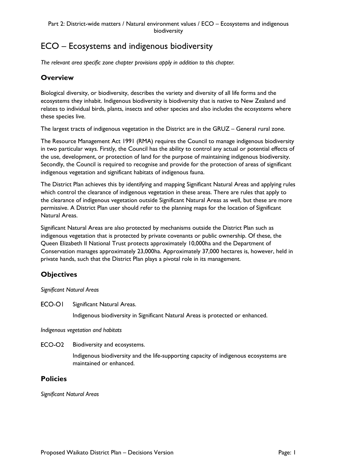# ECO – Ecosystems and indigenous biodiversity

*The relevant area specific zone chapter provisions apply in addition to this chapter.*

# **Overview**

Biological diversity, or biodiversity, describes the variety and diversity of all life forms and the ecosystems they inhabit. Indigenous biodiversity is biodiversity that is native to New Zealand and relates to individual birds, plants, insects and other species and also includes the ecosystems where these species live.

The largest tracts of indigenous vegetation in the District are in the GRUZ – General rural zone.

The Resource Management Act 1991 (RMA) requires the Council to manage indigenous biodiversity in two particular ways. Firstly, the Council has the ability to control any actual or potential effects of the use, development, or protection of land for the purpose of maintaining indigenous biodiversity. Secondly, the Council is required to recognise and provide for the protection of areas of significant indigenous vegetation and significant habitats of indigenous fauna.

The District Plan achieves this by identifying and mapping Significant Natural Areas and applying rules which control the clearance of indigenous vegetation in these areas. There are rules that apply to the clearance of indigenous vegetation outside Significant Natural Areas as well, but these are more permissive. A District Plan user should refer to the planning maps for the location of Significant Natural Areas.

Significant Natural Areas are also protected by mechanisms outside the District Plan such as indigenous vegetation that is protected by private covenants or public ownership. Of these, the Queen Elizabeth II National Trust protects approximately 10,000ha and the Department of Conservation manages approximately 23,000ha. Approximately 37,000 hectares is, however, held in private hands, such that the District Plan plays a pivotal role in its management.

# **Objectives**

*Significant Natural Areas*

ECO-OI Significant Natural Areas.

Indigenous biodiversity in Significant Natural Areas is protected or enhanced.

*Indigenous vegetation and habitats*

ECO-O<sub>2</sub> Biodiversity and ecosystems.

> Indigenous biodiversity and the life-supporting capacity of indigenous ecosystems are maintained or enhanced.

## **Policies**

*Significant Natural Areas*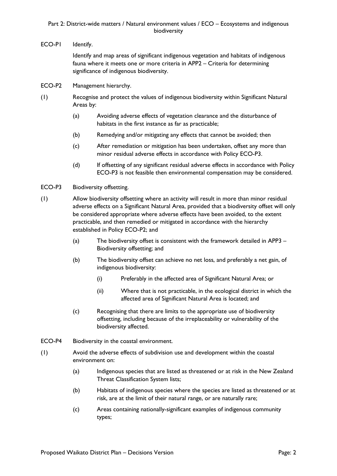ECO-PI Identify.

Identify and map areas of significant indigenous vegetation and habitats of indigenous fauna where it meets one or more criteria in APP2 – Criteria for determining significance of indigenous biodiversity.

- ECO-P2 Management hierarchy.
- (1) Recognise and protect the values of indigenous biodiversity within Significant Natural Areas by:
	- (a) Avoiding adverse effects of vegetation clearance and the disturbance of habitats in the first instance as far as practicable;
	- (b) Remedying and/or mitigating any effects that cannot be avoided; then
	- (c) After remediation or mitigation has been undertaken, offset any more than minor residual adverse effects in accordance with Policy ECO-P3.
	- (d) If offsetting of any significant residual adverse effects in accordance with Policy ECO-P3 is not feasible then environmental compensation may be considered.
- ECO-P3 Biodiversity offsetting.
- (1) Allow biodiversity offsetting where an activity will result in more than minor residual adverse effects on a Significant Natural Area, provided that a biodiversity offset will only be considered appropriate where adverse effects have been avoided, to the extent practicable, and then remedied or mitigated in accordance with the hierarchy established in Policy ECO-P2; and
	- (a) The biodiversity offset is consistent with the framework detailed in APP3 Biodiversity offsetting; and
	- (b) The biodiversity offset can achieve no net loss, and preferably a net gain, of indigenous biodiversity:
		- (i) Preferably in the affected area of Significant Natural Area; or
		- (ii) Where that is not practicable, in the ecological district in which the affected area of Significant Natural Area is located; and
	- (c) Recognising that there are limits to the appropriate use of biodiversity offsetting, including because of the irreplaceability or vulnerability of the biodiversity affected.
- ECO-P4 Biodiversity in the coastal environment.
- (1) Avoid the adverse effects of subdivision use and development within the coastal environment on:
	- (a) Indigenous species that are listed as threatened or at risk in the New Zealand Threat Classification System lists;
	- (b) Habitats of indigenous species where the species are listed as threatened or at risk, are at the limit of their natural range, or are naturally rare;
	- (c) Areas containing nationallysignificant examples of indigenous community types;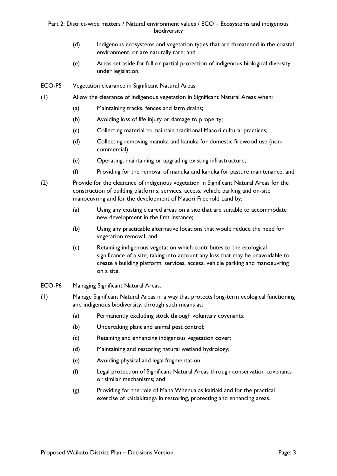- (d) Indigenous ecosystems and vegetation types that are threatened in the coastal environment, or are naturally rare; and
- (e) Areas set aside for full or partial protection of indigenous biological diversity under legislation.
- ECO-P5 Vegetation clearance in Significant Natural Areas.
- (1) Allow the clearance of indigenous vegetation in Significant Natural Areas when:
	- (a) Maintaining tracks, fences and farm drains;
	- (b) Avoiding loss of life injury or damage to property;
	- (c) Collecting material to maintain traditional Maaori cultural practices;
	- (d) Collecting removing manuka and kanuka for domestic firewood use (noncommercial);
	- (e) Operating, maintaining or upgrading existing infrastructure;
	- (f) Providing for the removal of manuka and kanuka for pasture maintenance; and
- (2) Provide for the clearance of indigenous vegetation in Significant Natural Areas for the construction of building platforms, services, access, vehicle parking and on-site manoeuvring and for the development of Maaori Freehold Land by:
	- (a) Using any existing cleared areas on a site that are suitable to accommodate new development in the first instance;
	- (b) Using any practicable alternative locations that would reduce the need for vegetation removal; and
	- (c) Retaining indigenous vegetation which contributes to the ecological significance of a site, taking into account any loss that may be unavoidable to create a building platform, services, access, vehicle parking and manoeuvring on a site.
- ECO-P6 Managing Significant Natural Areas.
- (1) Manage Significant Natural Areas in a way that protects long-term ecological functioning and indigenous biodiversity, through such means as:
	- (a) Permanently excluding stock through voluntary covenants;
	- (b) Undertaking plant and animal pest control;
	- (c) Retaining and enhancing indigenous vegetation cover;
	- (d) Maintaining and restoring natural wetland hydrology;
	- (e) Avoiding physical and legal fragmentation;
	- (f) Legal protection of Significant Natural Areas through conservation covenants or similar mechanisms; and
	- (g) Providing for the role of Mana Whenua as kaitiaki and for the practical exercise of kaitiakitanga in restoring, protecting and enhancing areas.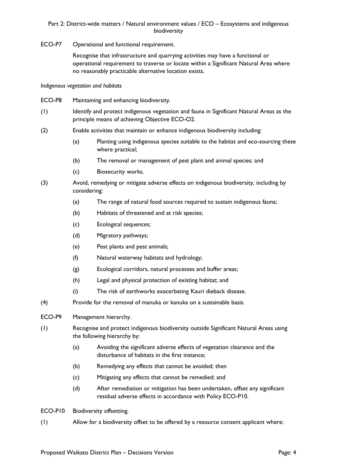ECO-P7 Operational and functional requirement.

Recognise that infrastructure and quarrying activities may have a functional or operational requirement to traverse or locate within a Significant Natural Area where no reasonably practicable alternative location exists.

*Indigenous vegetation and habitats*

- ECO-P8 Maintaining and enhancing biodiversity.
- (1) Identify and protect indigenous vegetation and fauna in Significant Natural Areas as the principle means of achieving Objective ECO-O2.
- (2) Enable activities that maintain or enhance indigenous biodiversity including:
	- (a) Planting using indigenous species suitable to the habitat and eco-sourcing these where practical;
	- (b) The removal or management of pest plant and animal species; and
	- (c) Biosecurity works.
- (3) Avoid, remedying or mitigate adverse effects on indigenous biodiversity, including by considering:
	- (a) The range of natural food sources required to sustain indigenous fauna;
	- (b) Habitats of threatened and at risk species;
	- (c) Ecological sequences;
	- (d) Migratory pathways;
	- (e) Pest plants and pest animals;
	- (f) Natural waterway habitats and hydrology;
	- (g) Ecological corridors, natural processes and buffer areas;
	- (h) Legal and physical protection of existing habitat; and
	- (i) The risk of earthworks exacerbating Kauri dieback disease.
- (4) Provide for the removal of manuka or kanuka on a sustainable basis.
- ECO-P9 Management hierarchy.
- (1) Recognise and protect indigenous biodiversity outside Significant Natural Areas using the following hierarchy by:
	- (a) Avoiding the significant adverse effects of vegetation clearance and the disturbance of habitats in the first instance;
	- (b) Remedying any effects that cannot be avoided; then
	- (c) Mitigating any effects that cannot be remedied; and
	- (d) After remediation or mitigation has been undertaken, offset any significant residual adverse effects in accordance with Policy ECO-P10.
- ECO-P10 Biodiversity offsetting.
- (1) Allow for a biodiversity offset to be offered by a resource consent applicant where: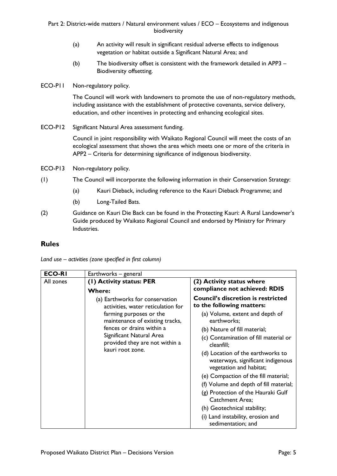- (a) An activity will result in significant residual adverse effects to indigenous vegetation or habitat outside a Significant Natural Area; and
- (b) The biodiversity offset is consistent with the framework detailed in APP3 Biodiversity offsetting.
- ECO-P11 Non-regulatory policy.

The Council will work with landowners to promote the use of non-regulatory methods, including assistance with the establishment of protective covenants, service delivery, education, and other incentives in protecting and enhancing ecological sites.

ECO-P12 Significant Natural Area assessment funding.

Council in joint responsibility with Waikato Regional Council will meet the costs of an ecological assessment that shows the area which meets one or more of the criteria in APP2 – Criteria for determining significance of indigenous biodiversity.

- ECO-P13 Non-regulatory policy.
- (1) The Council will incorporate the following information in their Conservation Strategy:
	- (a) Kauri Dieback, including reference to the Kauri Dieback Programme; and
	- (b) Long-Tailed Bats.
- (2) Guidance on Kauri Die Back can be found in the Protecting Kauri: A Rural Landowner's Guide produced by Waikato Regional Council and endorsed by Ministry for Primary Industries.

## **Rules**

| Land use $-$ activities (zone specified in first column) |  |  |
|----------------------------------------------------------|--|--|
|----------------------------------------------------------|--|--|

| <b>ECO-RI</b> | Earthworks - general                                                                                                                                                                                                                               |                                                                                                                                                                                                                                                                                                                                                                                                                                                                                                                                                                  |
|---------------|----------------------------------------------------------------------------------------------------------------------------------------------------------------------------------------------------------------------------------------------------|------------------------------------------------------------------------------------------------------------------------------------------------------------------------------------------------------------------------------------------------------------------------------------------------------------------------------------------------------------------------------------------------------------------------------------------------------------------------------------------------------------------------------------------------------------------|
| All zones     | (1) Activity status: PER<br><b>Where:</b>                                                                                                                                                                                                          | (2) Activity status where<br>compliance not achieved: RDIS                                                                                                                                                                                                                                                                                                                                                                                                                                                                                                       |
|               | (a) Earthworks for conservation<br>activities, water reticulation for<br>farming purposes or the<br>maintenance of existing tracks,<br>fences or drains within a<br>Significant Natural Area<br>provided they are not within a<br>kauri root zone. | <b>Council's discretion is restricted</b><br>to the following matters:<br>(a) Volume, extent and depth of<br>earthworks;<br>(b) Nature of fill material;<br>(c) Contamination of fill material or<br>cleanfill;<br>(d) Location of the earthworks to<br>waterways, significant indigenous<br>vegetation and habitat;<br>(e) Compaction of the fill material;<br>(f) Volume and depth of fill material;<br>(g) Protection of the Hauraki Gulf<br><b>Catchment Area:</b><br>(h) Geotechnical stability;<br>(i) Land instability, erosion and<br>sedimentation; and |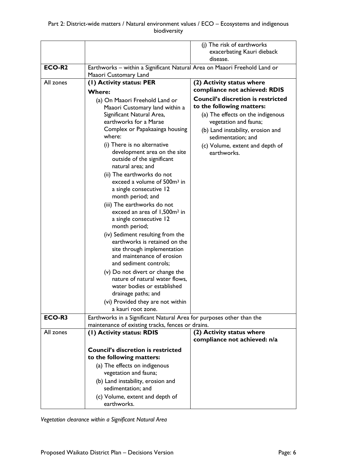|                    |                                                                           | (j) The risk of earthworks                |
|--------------------|---------------------------------------------------------------------------|-------------------------------------------|
|                    |                                                                           | exacerbating Kauri dieback                |
|                    |                                                                           |                                           |
|                    |                                                                           | disease.                                  |
| ECO-R <sub>2</sub> | Earthworks - within a Significant Natural Area on Maaori Freehold Land or |                                           |
|                    | Maaori Customary Land                                                     |                                           |
| All zones          | (I) Activity status: PER                                                  | (2) Activity status where                 |
|                    | <b>Where:</b>                                                             | compliance not achieved: RDIS             |
|                    |                                                                           | <b>Council's discretion is restricted</b> |
|                    | (a) On Maaori Freehold Land or                                            |                                           |
|                    | Maaori Customary land within a                                            | to the following matters:                 |
|                    | Significant Natural Area,                                                 | (a) The effects on the indigenous         |
|                    | earthworks for a Marae                                                    | vegetation and fauna;                     |
|                    | Complex or Papakaainga housing                                            | (b) Land instability, erosion and         |
|                    | where:                                                                    | sedimentation; and                        |
|                    | (i) There is no alternative                                               | (c) Volume, extent and depth of           |
|                    | development area on the site                                              | earthworks.                               |
|                    | outside of the significant                                                |                                           |
|                    | natural area; and                                                         |                                           |
|                    | (ii) The earthworks do not                                                |                                           |
|                    | exceed a volume of 500m <sup>3</sup> in                                   |                                           |
|                    |                                                                           |                                           |
|                    | a single consecutive 12                                                   |                                           |
|                    | month period; and                                                         |                                           |
|                    | (iii) The earthworks do not                                               |                                           |
|                    | exceed an area of 1,500m <sup>2</sup> in                                  |                                           |
|                    | a single consecutive 12                                                   |                                           |
|                    | month period;                                                             |                                           |
|                    | (iv) Sediment resulting from the                                          |                                           |
|                    | earthworks is retained on the                                             |                                           |
|                    | site through implementation                                               |                                           |
|                    | and maintenance of erosion                                                |                                           |
|                    | and sediment controls;                                                    |                                           |
|                    | (v) Do not divert or change the                                           |                                           |
|                    | nature of natural water flows,                                            |                                           |
|                    |                                                                           |                                           |
|                    | water bodies or established                                               |                                           |
|                    | drainage paths; and                                                       |                                           |
|                    | (vi) Provided they are not within                                         |                                           |
|                    | a kauri root zone.                                                        |                                           |
| ECO-R3             | Earthworks in a Significant Natural Area for purposes other than the      |                                           |
|                    | maintenance of existing tracks, fences or drains.                         |                                           |
| All zones          | (1) Activity status: RDIS                                                 | (2) Activity status where                 |
|                    |                                                                           | compliance not achieved: n/a              |
|                    | <b>Council's discretion is restricted</b>                                 |                                           |
|                    | to the following matters:                                                 |                                           |
|                    |                                                                           |                                           |
|                    | (a) The effects on indigenous                                             |                                           |
|                    | vegetation and fauna;                                                     |                                           |
|                    | (b) Land instability, erosion and                                         |                                           |
|                    | sedimentation; and                                                        |                                           |
|                    | (c) Volume, extent and depth of                                           |                                           |
|                    | earthworks.                                                               |                                           |

*Vegetation clearance within a Significant Natural Area*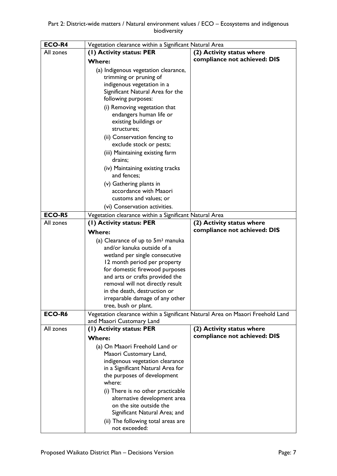| ECO-R4        | Vegetation clearance within a Significant Natural Area                                                      |                              |
|---------------|-------------------------------------------------------------------------------------------------------------|------------------------------|
| All zones     | (1) Activity status: PER                                                                                    | (2) Activity status where    |
|               | <b>Where:</b>                                                                                               | compliance not achieved: DIS |
|               | (a) Indigenous vegetation clearance,                                                                        |                              |
|               | trimming or pruning of                                                                                      |                              |
|               | indigenous vegetation in a                                                                                  |                              |
|               | Significant Natural Area for the                                                                            |                              |
|               | following purposes:                                                                                         |                              |
|               | (i) Removing vegetation that                                                                                |                              |
|               | endangers human life or                                                                                     |                              |
|               | existing buildings or<br>structures;                                                                        |                              |
|               |                                                                                                             |                              |
|               | (ii) Conservation fencing to<br>exclude stock or pests;                                                     |                              |
|               | (iii) Maintaining existing farm                                                                             |                              |
|               | drains;                                                                                                     |                              |
|               | (iv) Maintaining existing tracks                                                                            |                              |
|               | and fences;                                                                                                 |                              |
|               | (v) Gathering plants in                                                                                     |                              |
|               | accordance with Maaori                                                                                      |                              |
|               | customs and values; or                                                                                      |                              |
|               | (vi) Conservation activities.                                                                               |                              |
| <b>ECO-R5</b> | Vegetation clearance within a Significant Natural Area                                                      |                              |
| All zones     | (1) Activity status: PER                                                                                    | (2) Activity status where    |
|               | <b>Where:</b>                                                                                               | compliance not achieved: DIS |
|               | (a) Clearance of up to 5m <sup>3</sup> manuka                                                               |                              |
|               | and/or kanuka outside of a                                                                                  |                              |
|               | wetland per single consecutive                                                                              |                              |
|               | 12 month period per property<br>for domestic firewood purposes                                              |                              |
|               | and arts or crafts provided the                                                                             |                              |
|               | removal will not directly result                                                                            |                              |
|               | in the death, destruction or                                                                                |                              |
|               | irreparable damage of any other                                                                             |                              |
|               | tree, bush or plant.                                                                                        |                              |
| ECO-R6        | Vegetation clearance within a Significant Natural Area on Maaori Freehold Land<br>and Maaori Customary Land |                              |
| All zones     | (1) Activity status: PER                                                                                    | (2) Activity status where    |
|               | <b>Where:</b>                                                                                               | compliance not achieved: DIS |
|               | (a) On Maaori Freehold Land or                                                                              |                              |
|               | Maaori Customary Land,                                                                                      |                              |
|               | indigenous vegetation clearance                                                                             |                              |
|               | in a Significant Natural Area for                                                                           |                              |
|               | the purposes of development                                                                                 |                              |
|               | where:                                                                                                      |                              |
|               | (i) There is no other practicable                                                                           |                              |
|               | alternative development area                                                                                |                              |
|               | on the site outside the<br>Significant Natural Area; and                                                    |                              |
|               | (ii) The following total areas are                                                                          |                              |
|               | not exceeded:                                                                                               |                              |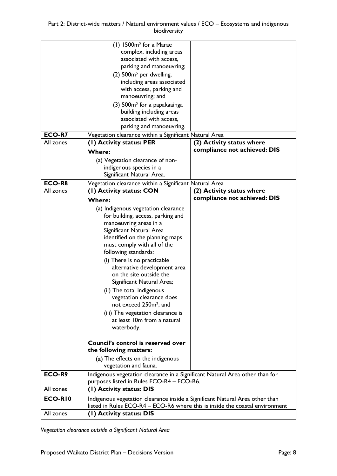|               | (1) 1500m <sup>2</sup> for a Marae                                           |                              |
|---------------|------------------------------------------------------------------------------|------------------------------|
|               | complex, including areas                                                     |                              |
|               | associated with access,                                                      |                              |
|               | parking and manoeuvring;                                                     |                              |
|               | (2) 500m <sup>2</sup> per dwelling,                                          |                              |
|               | including areas associated                                                   |                              |
|               | with access, parking and                                                     |                              |
|               | manoeuvring; and                                                             |                              |
|               | (3) 500m <sup>2</sup> for a papakaainga                                      |                              |
|               | building including areas                                                     |                              |
|               | associated with access,                                                      |                              |
|               | parking and manoeuvring.                                                     |                              |
| <b>ECO-R7</b> |                                                                              |                              |
|               | Vegetation clearance within a Significant Natural Area                       |                              |
| All zones     | (1) Activity status: PER                                                     | (2) Activity status where    |
|               | <b>Where:</b>                                                                | compliance not achieved: DIS |
|               | (a) Vegetation clearance of non-                                             |                              |
|               | indigenous species in a                                                      |                              |
|               | Significant Natural Area.                                                    |                              |
| ECO-R8        | Vegetation clearance within a Significant Natural Area                       |                              |
| All zones     | (I) Activity status: CON                                                     | (2) Activity status where    |
|               |                                                                              | compliance not achieved: DIS |
|               | <b>Where:</b>                                                                |                              |
|               | (a) Indigenous vegetation clearance                                          |                              |
|               | for building, access, parking and                                            |                              |
|               | manoeuvring areas in a                                                       |                              |
|               | Significant Natural Area                                                     |                              |
|               | identified on the planning maps                                              |                              |
|               | must comply with all of the                                                  |                              |
|               | following standards:                                                         |                              |
|               | (i) There is no practicable                                                  |                              |
|               | alternative development area                                                 |                              |
|               | on the site outside the                                                      |                              |
|               | Significant Natural Area;                                                    |                              |
|               | (ii) The total indigenous                                                    |                              |
|               | vegetation clearance does                                                    |                              |
|               | not exceed 250m <sup>2</sup> ; and                                           |                              |
|               | (iii) The vegetation clearance is                                            |                              |
|               | at least 10m from a natural                                                  |                              |
|               | waterbody.                                                                   |                              |
|               |                                                                              |                              |
|               | Council's control is reserved over                                           |                              |
|               | the following matters:                                                       |                              |
|               |                                                                              |                              |
|               | (a) The effects on the indigenous                                            |                              |
|               | vegetation and fauna.                                                        |                              |
| ECO-R9        | Indigenous vegetation clearance in a Significant Natural Area other than for |                              |
|               | purposes listed in Rules ECO-R4 - ECO-R6.                                    |                              |
| All zones     | (1) Activity status: DIS                                                     |                              |
| ECO-RIO       | Indigenous vegetation clearance inside a Significant Natural Area other than |                              |
|               | listed in Rules ECO-R4 - ECO-R6 where this is inside the coastal environment |                              |
| All zones     | (I) Activity status: DIS                                                     |                              |

*Vegetation clearance outside a Significant Natural Area*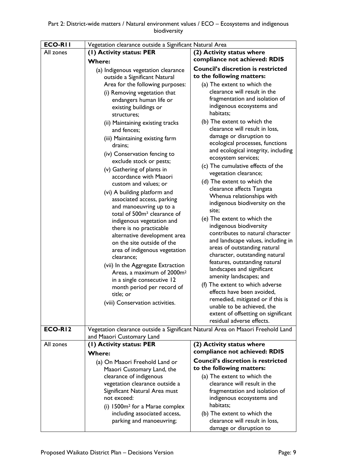| <b>ECO-RII</b> | Vegetation clearance outside a Significant Natural Area            |                                                                                                              |  |
|----------------|--------------------------------------------------------------------|--------------------------------------------------------------------------------------------------------------|--|
| All zones      | (1) Activity status: PER                                           | (2) Activity status where                                                                                    |  |
|                | <b>Where:</b>                                                      | compliance not achieved: RDIS                                                                                |  |
|                | (a) Indigenous vegetation clearance                                | <b>Council's discretion is restricted</b>                                                                    |  |
|                | outside a Significant Natural                                      | to the following matters:                                                                                    |  |
|                | Area for the following purposes:                                   | (a) The extent to which the                                                                                  |  |
|                | (i) Removing vegetation that                                       | clearance will result in the                                                                                 |  |
|                | endangers human life or                                            | fragmentation and isolation of                                                                               |  |
|                | existing buildings or                                              | indigenous ecosystems and                                                                                    |  |
|                | structures;                                                        | habitats;                                                                                                    |  |
|                | (ii) Maintaining existing tracks<br>and fences;                    | (b) The extent to which the<br>clearance will result in loss,                                                |  |
|                | (iii) Maintaining existing farm                                    | damage or disruption to                                                                                      |  |
|                | drains;                                                            | ecological processes, functions                                                                              |  |
|                | (iv) Conservation fencing to                                       | and ecological integrity, including                                                                          |  |
|                | exclude stock or pests;                                            | ecosystem services;                                                                                          |  |
|                | (v) Gathering of plants in                                         | (c) The cumulative effects of the                                                                            |  |
|                | accordance with Maaori                                             | vegetation clearance;                                                                                        |  |
|                | custom and values; or                                              | (d) The extent to which the<br>clearance affects Tangata                                                     |  |
|                | (vi) A building platform and                                       | Whenua relationships with                                                                                    |  |
|                | associated access, parking                                         | indigenous biodiversity on the                                                                               |  |
|                | and manoeuvring up to a<br>total of 500m <sup>2</sup> clearance of | site;                                                                                                        |  |
|                | indigenous vegetation and                                          | (e) The extent to which the                                                                                  |  |
|                | there is no practicable                                            | indigenous biodiversity                                                                                      |  |
|                | alternative development area                                       | contributes to natural character                                                                             |  |
|                | on the site outside of the                                         | and landscape values, including in                                                                           |  |
|                | area of indigenous vegetation                                      | areas of outstanding natural                                                                                 |  |
|                | clearance;                                                         | character, outstanding natural<br>features, outstanding natural                                              |  |
|                | (vii) In the Aggregate Extraction                                  | landscapes and significant                                                                                   |  |
|                | Areas, a maximum of 2000m <sup>2</sup>                             | amenity landscapes; and                                                                                      |  |
|                | in a single consecutive 12<br>month period per record of           | (f) The extent to which adverse                                                                              |  |
|                | title; or                                                          | effects have been avoided,                                                                                   |  |
|                | (viii) Conservation activities.                                    | remedied, mitigated or if this is                                                                            |  |
|                |                                                                    | unable to be achieved, the                                                                                   |  |
|                |                                                                    | extent of offsetting on significant                                                                          |  |
| ECO-RI2        |                                                                    | residual adverse effects.<br>Vegetation clearance outside a Significant Natural Area on Maaori Freehold Land |  |
|                | and Maaori Customary Land                                          |                                                                                                              |  |
| All zones      | (1) Activity status: PER                                           | (2) Activity status where                                                                                    |  |
|                | <b>Where:</b>                                                      | compliance not achieved: RDIS                                                                                |  |
|                | (a) On Maaori Freehold Land or                                     | <b>Council's discretion is restricted</b>                                                                    |  |
|                | Maaori Customary Land, the                                         | to the following matters:                                                                                    |  |
|                | clearance of indigenous                                            | (a) The extent to which the                                                                                  |  |
|                | vegetation clearance outside a                                     | clearance will result in the                                                                                 |  |
|                | Significant Natural Area must                                      | fragmentation and isolation of                                                                               |  |
|                | not exceed:                                                        | indigenous ecosystems and<br>habitats;                                                                       |  |
|                | (i) $1500m^2$ for a Marae complex                                  |                                                                                                              |  |
|                | including associated access,<br>parking and manoeuvring;           | (b) The extent to which the<br>clearance will result in loss,                                                |  |
|                |                                                                    | damage or disruption to                                                                                      |  |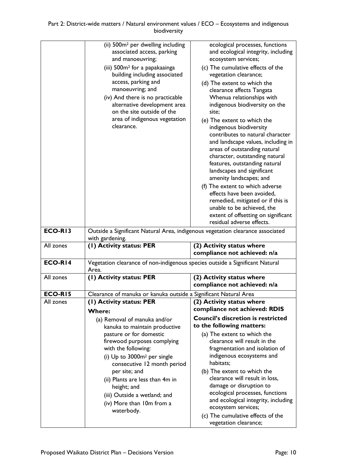| ECO-RI3   | (ii) 500m <sup>2</sup> per dwelling including<br>associated access, parking<br>and manoeuvring;<br>(iii) 500m <sup>2</sup> for a papakaainga<br>building including associated<br>access, parking and<br>manoeuvring; and<br>(iv) And there is no practicable<br>alternative development area<br>on the site outside of the<br>area of indigenous vegetation<br>clearance.<br>Outside a Significant Natural Area, indigenous vegetation clearance associated | ecological processes, functions<br>and ecological integrity, including<br>ecosystem services;<br>(c) The cumulative effects of the<br>vegetation clearance;<br>(d) The extent to which the<br>clearance affects Tangata<br>Whenua relationships with<br>indigenous biodiversity on the<br>site:<br>(e) The extent to which the<br>indigenous biodiversity<br>contributes to natural character<br>and landscape values, including in<br>areas of outstanding natural<br>character, outstanding natural<br>features, outstanding natural<br>landscapes and significant<br>amenity landscapes; and<br>(f) The extent to which adverse<br>effects have been avoided,<br>remedied, mitigated or if this is<br>unable to be achieved, the<br>extent of offsetting on significant<br>residual adverse effects. |
|-----------|-------------------------------------------------------------------------------------------------------------------------------------------------------------------------------------------------------------------------------------------------------------------------------------------------------------------------------------------------------------------------------------------------------------------------------------------------------------|---------------------------------------------------------------------------------------------------------------------------------------------------------------------------------------------------------------------------------------------------------------------------------------------------------------------------------------------------------------------------------------------------------------------------------------------------------------------------------------------------------------------------------------------------------------------------------------------------------------------------------------------------------------------------------------------------------------------------------------------------------------------------------------------------------|
| All zones | with gardening.<br>(1) Activity status: PER                                                                                                                                                                                                                                                                                                                                                                                                                 | (2) Activity status where                                                                                                                                                                                                                                                                                                                                                                                                                                                                                                                                                                                                                                                                                                                                                                               |
|           |                                                                                                                                                                                                                                                                                                                                                                                                                                                             | compliance not achieved: n/a                                                                                                                                                                                                                                                                                                                                                                                                                                                                                                                                                                                                                                                                                                                                                                            |
| ECO-RI4   | Vegetation clearance of non-indigenous species outside a Significant Natural                                                                                                                                                                                                                                                                                                                                                                                |                                                                                                                                                                                                                                                                                                                                                                                                                                                                                                                                                                                                                                                                                                                                                                                                         |
|           | Area.                                                                                                                                                                                                                                                                                                                                                                                                                                                       |                                                                                                                                                                                                                                                                                                                                                                                                                                                                                                                                                                                                                                                                                                                                                                                                         |
| All zones | (1) Activity status: PER                                                                                                                                                                                                                                                                                                                                                                                                                                    | (2) Activity status where<br>compliance not achieved: n/a                                                                                                                                                                                                                                                                                                                                                                                                                                                                                                                                                                                                                                                                                                                                               |
| ECO-RI5   | Clearance of manuka or kanuka outside a Significant Natural Area                                                                                                                                                                                                                                                                                                                                                                                            |                                                                                                                                                                                                                                                                                                                                                                                                                                                                                                                                                                                                                                                                                                                                                                                                         |
| All zones | (1) Activity status: PER<br><b>Where:</b>                                                                                                                                                                                                                                                                                                                                                                                                                   | (2) Activity status where<br>compliance not achieved: RDIS<br><b>Council's discretion is restricted</b>                                                                                                                                                                                                                                                                                                                                                                                                                                                                                                                                                                                                                                                                                                 |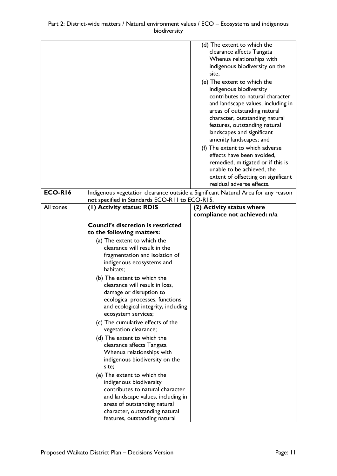|                |                                                                                                                                                                                                                                                                                                                                                                                                                                                                                                                                                                                                                                                                                                                                                                                                                                                         | (d) The extent to which the<br>clearance affects Tangata<br>Whenua relationships with<br>indigenous biodiversity on the<br>site;<br>(e) The extent to which the<br>indigenous biodiversity<br>contributes to natural character<br>and landscape values, including in<br>areas of outstanding natural<br>character, outstanding natural<br>features, outstanding natural<br>landscapes and significant<br>amenity landscapes; and<br>(f) The extent to which adverse<br>effects have been avoided,<br>remedied, mitigated or if this is<br>unable to be achieved, the<br>extent of offsetting on significant<br>residual adverse effects. |
|----------------|---------------------------------------------------------------------------------------------------------------------------------------------------------------------------------------------------------------------------------------------------------------------------------------------------------------------------------------------------------------------------------------------------------------------------------------------------------------------------------------------------------------------------------------------------------------------------------------------------------------------------------------------------------------------------------------------------------------------------------------------------------------------------------------------------------------------------------------------------------|------------------------------------------------------------------------------------------------------------------------------------------------------------------------------------------------------------------------------------------------------------------------------------------------------------------------------------------------------------------------------------------------------------------------------------------------------------------------------------------------------------------------------------------------------------------------------------------------------------------------------------------|
| <b>ECO-R16</b> | Indigenous vegetation clearance outside a Significant Natural Area for any reason<br>not specified in Standards ECO-R11 to ECO-R15.                                                                                                                                                                                                                                                                                                                                                                                                                                                                                                                                                                                                                                                                                                                     |                                                                                                                                                                                                                                                                                                                                                                                                                                                                                                                                                                                                                                          |
| All zones      | (I) Activity status: RDIS                                                                                                                                                                                                                                                                                                                                                                                                                                                                                                                                                                                                                                                                                                                                                                                                                               | (2) Activity status where<br>compliance not achieved: n/a                                                                                                                                                                                                                                                                                                                                                                                                                                                                                                                                                                                |
|                | <b>Council's discretion is restricted</b><br>to the following matters:<br>(a) The extent to which the<br>clearance will result in the<br>fragmentation and isolation of<br>indigenous ecosystems and<br>habitats;<br>(b) The extent to which the<br>clearance will result in loss,<br>damage or disruption to<br>ecological processes, functions<br>and ecological integrity, including<br>ecosystem services;<br>(c) The cumulative effects of the<br>vegetation clearance;<br>(d) The extent to which the<br>clearance affects Tangata<br>Whenua relationships with<br>indigenous biodiversity on the<br>site:<br>(e) The extent to which the<br>indigenous biodiversity<br>contributes to natural character<br>and landscape values, including in<br>areas of outstanding natural<br>character, outstanding natural<br>features, outstanding natural |                                                                                                                                                                                                                                                                                                                                                                                                                                                                                                                                                                                                                                          |